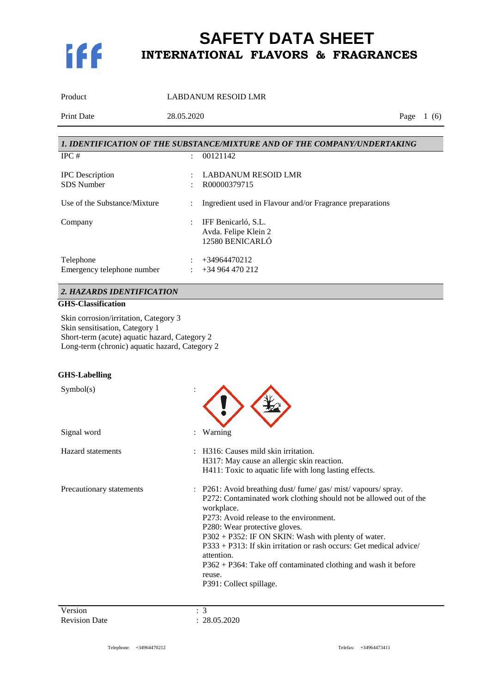

Product LABDANUM RESOID LMR Print Date 28.05.2020 Page 1 (6) *1. IDENTIFICATION OF THE SUBSTANCE/MIXTURE AND OF THE COMPANY/UNDERTAKING*

| IPC#                         | ٠ | 00121142                                                 |
|------------------------------|---|----------------------------------------------------------|
| <b>IPC</b> Description       | ٠ | <b>LABDANUM RESOID LMR</b>                               |
| <b>SDS</b> Number            |   | R00000379715                                             |
| Use of the Substance/Mixture | ÷ | Ingredient used in Flavour and/or Fragrance preparations |
| Company                      | ÷ | IFF Benicarló, S.L.                                      |
|                              |   | Avda. Felipe Klein 2                                     |
|                              |   | 12580 BENICARLÓ                                          |
| Telephone                    |   | $+34964470212$                                           |
| Emergency telephone number   |   | +34 964 470 212                                          |
|                              |   |                                                          |

### *2. HAZARDS IDENTIFICATION*

### **GHS-Classification**

Skin corrosion/irritation, Category 3 Skin sensitisation, Category 1 Short-term (acute) aquatic hazard, Category 2 Long-term (chronic) aquatic hazard, Category 2

#### **GHS-Labelling**

| Symbol(s)                |                                                                                                                                                                                                                                                                                                                                                                                                                                                                                |
|--------------------------|--------------------------------------------------------------------------------------------------------------------------------------------------------------------------------------------------------------------------------------------------------------------------------------------------------------------------------------------------------------------------------------------------------------------------------------------------------------------------------|
| Signal word              | Warning                                                                                                                                                                                                                                                                                                                                                                                                                                                                        |
| <b>Hazard</b> statements | H316: Causes mild skin irritation.<br>H317: May cause an allergic skin reaction.<br>H411: Toxic to aquatic life with long lasting effects.                                                                                                                                                                                                                                                                                                                                     |
| Precautionary statements | : P261: Avoid breathing dust/fume/gas/mist/vapours/spray.<br>P272: Contaminated work clothing should not be allowed out of the<br>workplace.<br>P273: Avoid release to the environment.<br>P280: Wear protective gloves.<br>P302 + P352: IF ON SKIN: Wash with plenty of water.<br>P333 + P313: If skin irritation or rash occurs: Get medical advice/<br>attention.<br>$P362 + P364$ : Take off contaminated clothing and wash it before<br>reuse.<br>P391: Collect spillage. |

Version : 3<br>
Revision Date : 2

 $: 28.05.2020$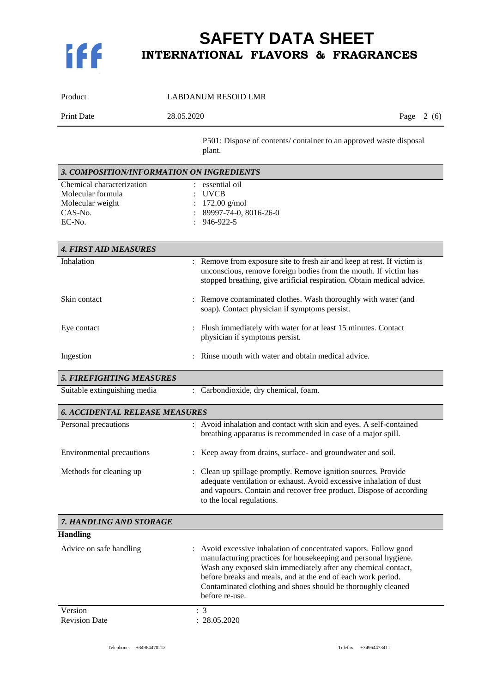

| Product                                                                                 | <b>LABDANUM RESOID LMR</b>                                                                                                                                                                                                                                                                                                                            |
|-----------------------------------------------------------------------------------------|-------------------------------------------------------------------------------------------------------------------------------------------------------------------------------------------------------------------------------------------------------------------------------------------------------------------------------------------------------|
| Print Date                                                                              | 28.05.2020<br>Page $2(6)$                                                                                                                                                                                                                                                                                                                             |
|                                                                                         | P501: Dispose of contents/ container to an approved waste disposal<br>plant.                                                                                                                                                                                                                                                                          |
| 3. COMPOSITION/INFORMATION ON INGREDIENTS                                               |                                                                                                                                                                                                                                                                                                                                                       |
| Chemical characterization<br>Molecular formula<br>Molecular weight<br>CAS-No.<br>EC-No. | : essential oil<br><b>UVCB</b><br>$172.00$ g/mol<br>89997-74-0, 8016-26-0<br>946-922-5                                                                                                                                                                                                                                                                |
| <b>4. FIRST AID MEASURES</b>                                                            |                                                                                                                                                                                                                                                                                                                                                       |
| Inhalation                                                                              | : Remove from exposure site to fresh air and keep at rest. If victim is<br>unconscious, remove foreign bodies from the mouth. If victim has<br>stopped breathing, give artificial respiration. Obtain medical advice.                                                                                                                                 |
| Skin contact                                                                            | : Remove contaminated clothes. Wash thoroughly with water (and<br>soap). Contact physician if symptoms persist.                                                                                                                                                                                                                                       |
| Eye contact                                                                             | : Flush immediately with water for at least 15 minutes. Contact<br>physician if symptoms persist.                                                                                                                                                                                                                                                     |
| Ingestion                                                                               | Rinse mouth with water and obtain medical advice.                                                                                                                                                                                                                                                                                                     |
| <b>5. FIREFIGHTING MEASURES</b>                                                         |                                                                                                                                                                                                                                                                                                                                                       |
| Suitable extinguishing media                                                            | : Carbondioxide, dry chemical, foam.                                                                                                                                                                                                                                                                                                                  |
| <b>6. ACCIDENTAL RELEASE MEASURES</b>                                                   |                                                                                                                                                                                                                                                                                                                                                       |
| Personal precautions                                                                    | : Avoid inhalation and contact with skin and eyes. A self-contained<br>breathing apparatus is recommended in case of a major spill.                                                                                                                                                                                                                   |
| <b>Environmental precautions</b>                                                        | Keep away from drains, surface- and groundwater and soil.                                                                                                                                                                                                                                                                                             |
| Methods for cleaning up                                                                 | Clean up spillage promptly. Remove ignition sources. Provide<br>adequate ventilation or exhaust. Avoid excessive inhalation of dust<br>and vapours. Contain and recover free product. Dispose of according<br>to the local regulations.                                                                                                               |
| 7. HANDLING AND STORAGE                                                                 |                                                                                                                                                                                                                                                                                                                                                       |
| <b>Handling</b>                                                                         |                                                                                                                                                                                                                                                                                                                                                       |
| Advice on safe handling                                                                 | : Avoid excessive inhalation of concentrated vapors. Follow good<br>manufacturing practices for housekeeping and personal hygiene.<br>Wash any exposed skin immediately after any chemical contact,<br>before breaks and meals, and at the end of each work period.<br>Contaminated clothing and shoes should be thoroughly cleaned<br>before re-use. |
|                                                                                         |                                                                                                                                                                                                                                                                                                                                                       |

Version <br>
Revision Date : 28.05.2020 Revision Date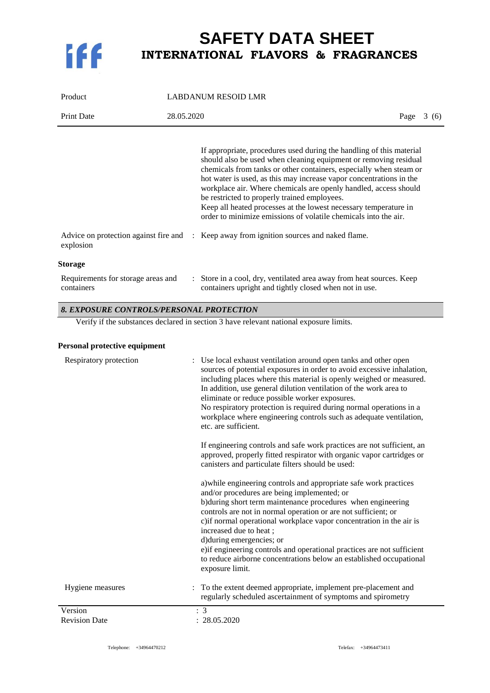

| Product                                            | <b>LABDANUM RESOID LMR</b>                                                                                                                                                                                                                                                                                                                                                                                                                                                                                                                       |      |       |
|----------------------------------------------------|--------------------------------------------------------------------------------------------------------------------------------------------------------------------------------------------------------------------------------------------------------------------------------------------------------------------------------------------------------------------------------------------------------------------------------------------------------------------------------------------------------------------------------------------------|------|-------|
| <b>Print Date</b>                                  | 28.05.2020                                                                                                                                                                                                                                                                                                                                                                                                                                                                                                                                       | Page | 3 (6) |
|                                                    | If appropriate, procedures used during the handling of this material<br>should also be used when cleaning equipment or removing residual<br>chemicals from tanks or other containers, especially when steam or<br>hot water is used, as this may increase vapor concentrations in the<br>workplace air. Where chemicals are openly handled, access should<br>be restricted to properly trained employees.<br>Keep all heated processes at the lowest necessary temperature in<br>order to minimize emissions of volatile chemicals into the air. |      |       |
| Advice on protection against fire and<br>explosion | : Keep away from ignition sources and naked flame.                                                                                                                                                                                                                                                                                                                                                                                                                                                                                               |      |       |
| <b>Storage</b>                                     |                                                                                                                                                                                                                                                                                                                                                                                                                                                                                                                                                  |      |       |
| Requirements for storage areas and<br>containers   | : Store in a cool, dry, ventilated area away from heat sources. Keep<br>containers upright and tightly closed when not in use.                                                                                                                                                                                                                                                                                                                                                                                                                   |      |       |

#### *8. EXPOSURE CONTROLS/PERSONAL PROTECTION*

Verify if the substances declared in section 3 have relevant national exposure limits.

#### **Personal protective equipment**

| Respiratory protection          | Use local exhaust ventilation around open tanks and other open<br>sources of potential exposures in order to avoid excessive inhalation,<br>including places where this material is openly weighed or measured.<br>In addition, use general dilution ventilation of the work area to<br>eliminate or reduce possible worker exposures.<br>No respiratory protection is required during normal operations in a<br>workplace where engineering controls such as adequate ventilation,<br>etc. are sufficient.<br>If engineering controls and safe work practices are not sufficient, an<br>approved, properly fitted respirator with organic vapor cartridges or<br>canisters and particulate filters should be used:<br>a) while engineering controls and appropriate safe work practices<br>and/or procedures are being implemented; or<br>b) during short term maintenance procedures when engineering<br>controls are not in normal operation or are not sufficient; or<br>c) if normal operational workplace vapor concentration in the air is<br>increased due to heat;<br>d) during emergencies; or<br>e) if engineering controls and operational practices are not sufficient<br>to reduce airborne concentrations below an established occupational<br>exposure limit. |
|---------------------------------|-------------------------------------------------------------------------------------------------------------------------------------------------------------------------------------------------------------------------------------------------------------------------------------------------------------------------------------------------------------------------------------------------------------------------------------------------------------------------------------------------------------------------------------------------------------------------------------------------------------------------------------------------------------------------------------------------------------------------------------------------------------------------------------------------------------------------------------------------------------------------------------------------------------------------------------------------------------------------------------------------------------------------------------------------------------------------------------------------------------------------------------------------------------------------------------------------------------------------------------------------------------------------------|
| Hygiene measures                | : To the extent deemed appropriate, implement pre-placement and<br>regularly scheduled ascertainment of symptoms and spirometry                                                                                                                                                                                                                                                                                                                                                                                                                                                                                                                                                                                                                                                                                                                                                                                                                                                                                                                                                                                                                                                                                                                                               |
| Version<br><b>Revision Date</b> | $\cdot$ 3<br>: 28.05.2020                                                                                                                                                                                                                                                                                                                                                                                                                                                                                                                                                                                                                                                                                                                                                                                                                                                                                                                                                                                                                                                                                                                                                                                                                                                     |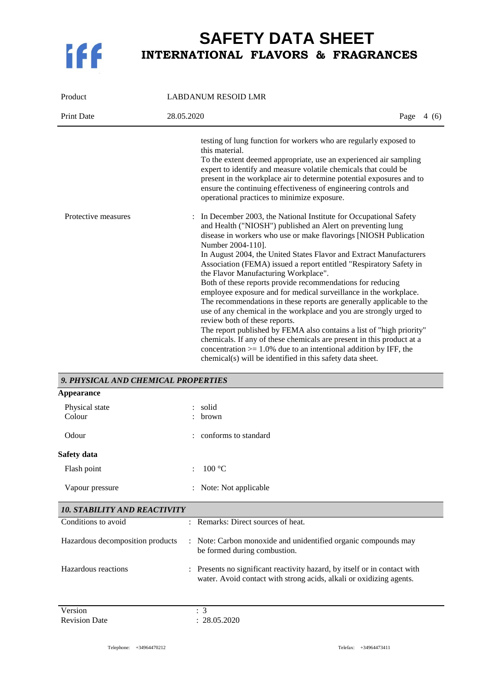

| Product             | <b>LABDANUM RESOID LMR</b>                                                                                                                                                                                                                                                                                                                                                                                                                                                                                                                                                                                                                                                                                                                                                                                                                                                                                                                                                                                           |  |
|---------------------|----------------------------------------------------------------------------------------------------------------------------------------------------------------------------------------------------------------------------------------------------------------------------------------------------------------------------------------------------------------------------------------------------------------------------------------------------------------------------------------------------------------------------------------------------------------------------------------------------------------------------------------------------------------------------------------------------------------------------------------------------------------------------------------------------------------------------------------------------------------------------------------------------------------------------------------------------------------------------------------------------------------------|--|
| <b>Print Date</b>   | 28.05.2020<br>Page $4(6)$                                                                                                                                                                                                                                                                                                                                                                                                                                                                                                                                                                                                                                                                                                                                                                                                                                                                                                                                                                                            |  |
|                     | testing of lung function for workers who are regularly exposed to<br>this material.<br>To the extent deemed appropriate, use an experienced air sampling<br>expert to identify and measure volatile chemicals that could be<br>present in the workplace air to determine potential exposures and to<br>ensure the continuing effectiveness of engineering controls and<br>operational practices to minimize exposure.                                                                                                                                                                                                                                                                                                                                                                                                                                                                                                                                                                                                |  |
| Protective measures | : In December 2003, the National Institute for Occupational Safety<br>and Health ("NIOSH") published an Alert on preventing lung<br>disease in workers who use or make flavorings [NIOSH Publication<br>Number 2004-110].<br>In August 2004, the United States Flavor and Extract Manufacturers<br>Association (FEMA) issued a report entitled "Respiratory Safety in<br>the Flavor Manufacturing Workplace".<br>Both of these reports provide recommendations for reducing<br>employee exposure and for medical surveillance in the workplace.<br>The recommendations in these reports are generally applicable to the<br>use of any chemical in the workplace and you are strongly urged to<br>review both of these reports.<br>The report published by FEMA also contains a list of "high priority"<br>chemicals. If any of these chemicals are present in this product at a<br>concentration $> = 1.0\%$ due to an intentional addition by IFF, the<br>chemical(s) will be identified in this safety data sheet. |  |

| 9. PHYSICAL AND CHEMICAL PROPERTIES |                                                                                                                                                  |
|-------------------------------------|--------------------------------------------------------------------------------------------------------------------------------------------------|
| <b>Appearance</b>                   |                                                                                                                                                  |
| Physical state<br>Colour            | solid<br>brown                                                                                                                                   |
| Odour                               | conforms to standard                                                                                                                             |
| Safety data                         |                                                                                                                                                  |
| Flash point                         | 100 °C                                                                                                                                           |
| Vapour pressure                     | Note: Not applicable                                                                                                                             |
| <b>10. STABILITY AND REACTIVITY</b> |                                                                                                                                                  |
| Conditions to avoid                 | : Remarks: Direct sources of heat.                                                                                                               |
| Hazardous decomposition products    | : Note: Carbon monoxide and unidentified organic compounds may<br>be formed during combustion.                                                   |
| Hazardous reactions                 | : Presents no significant reactivity hazard, by itself or in contact with<br>water. Avoid contact with strong acids, alkali or oxidizing agents. |
| Version                             | : 3                                                                                                                                              |
| <b>Revision Date</b>                | : 28.05.2020                                                                                                                                     |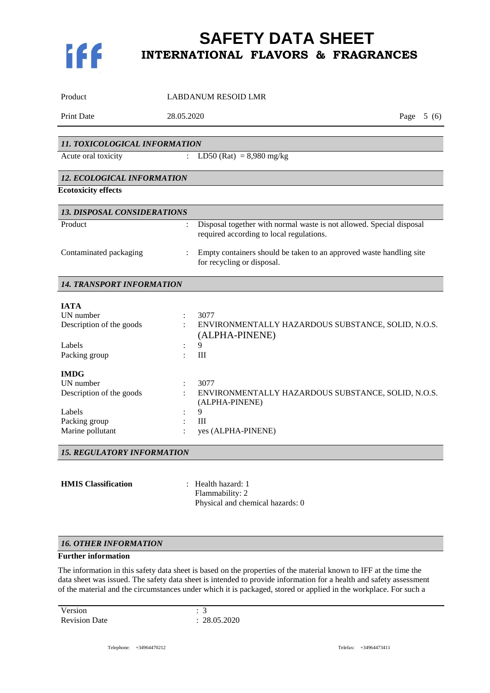

| Product                            |                      | <b>LABDANUM RESOID LMR</b>                                                                                       |             |
|------------------------------------|----------------------|------------------------------------------------------------------------------------------------------------------|-------------|
| Print Date                         | 28.05.2020           |                                                                                                                  | Page $5(6)$ |
|                                    |                      |                                                                                                                  |             |
| 11. TOXICOLOGICAL INFORMATION      |                      |                                                                                                                  |             |
| Acute oral toxicity                | $\ddot{\phantom{a}}$ | $LD50 (Rat) = 8,980 mg/kg$                                                                                       |             |
| 12. ECOLOGICAL INFORMATION         |                      |                                                                                                                  |             |
| <b>Ecotoxicity effects</b>         |                      |                                                                                                                  |             |
| <b>13. DISPOSAL CONSIDERATIONS</b> |                      |                                                                                                                  |             |
| Product                            | $\ddot{\cdot}$       | Disposal together with normal waste is not allowed. Special disposal<br>required according to local regulations. |             |
| Contaminated packaging             |                      | Empty containers should be taken to an approved waste handling site<br>for recycling or disposal.                |             |
| <b>14. TRANSPORT INFORMATION</b>   |                      |                                                                                                                  |             |
| <b>TATA</b>                        |                      |                                                                                                                  |             |
| UN number                          |                      | 3077                                                                                                             |             |
| Description of the goods           |                      | ENVIRONMENTALLY HAZARDOUS SUBSTANCE, SOLID, N.O.S.<br>(ALPHA-PINENE)                                             |             |
| Labels                             |                      | 9                                                                                                                |             |
| Packing group                      |                      | III                                                                                                              |             |
| <b>IMDG</b>                        |                      |                                                                                                                  |             |
| UN number                          |                      | 3077                                                                                                             |             |
| Description of the goods           |                      | ENVIRONMENTALLY HAZARDOUS SUBSTANCE, SOLID, N.O.S.<br>(ALPHA-PINENE)                                             |             |
| Labels                             |                      | 9                                                                                                                |             |
| Packing group                      |                      | III                                                                                                              |             |
| Marine pollutant                   |                      | yes (ALPHA-PINENE)                                                                                               |             |
| <b>15. REGULATORY INFORMATION</b>  |                      |                                                                                                                  |             |
|                                    |                      |                                                                                                                  |             |
| <b>HMIS</b> Classification         |                      | : Health hazard: 1                                                                                               |             |

Flammability: 2 Physical and chemical hazards: 0

#### *16. OTHER INFORMATION*

### **Further information**

The information in this safety data sheet is based on the properties of the material known to IFF at the time the data sheet was issued. The safety data sheet is intended to provide information for a health and safety assessment of the material and the circumstances under which it is packaged, stored or applied in the workplace. For such a

Version : 3<br>
Revision Date : 28.05.2020 Revision Date